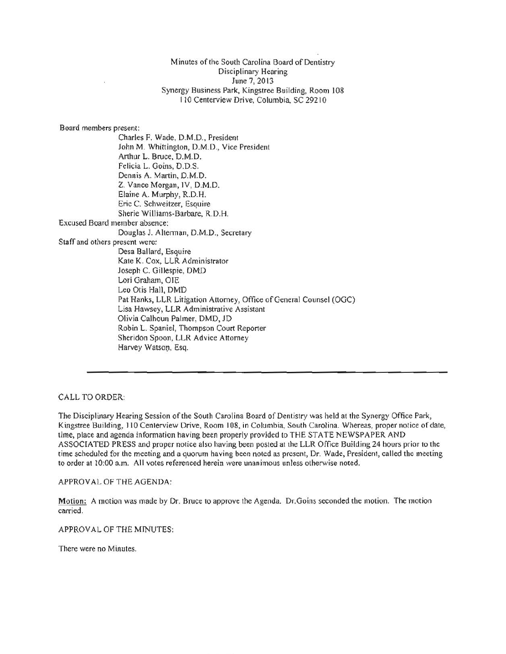Minutes of the South Carolina Board of Dentistry Disciplinary Hearing June 7, 2013 Synergy Business Park, Kingstree Building, Room 108 110 Centerview Drive, Columbia, SC 29210

Board members present: Charles F. Wade, D.M.D., President John M. Whittington, D.M.D., Vice President Arthur L. Bruce, D.M.D. Felicia L. Goins, D.D.S. Dennis A. Martin, D.M.O. Z. Vance Morgan, IV, D.M.D. Elaine A. Murphy, R.D.H. Eric C. Schweitzer, Esquire Sherie Williams-Barbare, R.D. H. Excused Board member absence: Douglas J. Alterman, D.M.D., Secretary Staff and others present were: Desa Ballard, Esquire Kate K. Cox, LLR Administrator Joseph C. Gillespie, DMD Lori Graham, OlE Leo Otis Hall, DMD Pat Hanks, LLR Litigation Attorney, Office of General Counsel (OGC) Lisa Hawsey, LLR Administrative Assistant Olivia Calhoun Palmer, DMD.1D Robin L. Spaniel, Thompson Court Reporter Sheridon Spoon, LLR Advice Attorney Harvey Watson, Esq.

CALL TO ORDER,

The Disciplinary Hearing Session of the South Carolina Board of Dentistry was held at the Synergy Office Park, Kingstree Building, 110 Centerview Drive, Room 108, in Columbia, South Carolina. Whereas, proper notice of date, time, place and agenda information having been properly provided to THE STATE NEWSPAPER AND ASSOCIATED PRESS and proper notice also having been posted at the LLR Office Building 24 hours prior to the time scheduled for the meeting and a quorum having been noted as present, Dr. Wade, President, called the meeting to order al 10:00 a.m. All votes referenced herein were unanimous unless otherwise noted.

APPROVAL OF THE AGENDA:

Motion: A motion was made by Dr. Bruce to approve the Agenda. Dr.Goins seconded the motion. The motion carried.

APPROVAL OF THE MINUTES:

There were no Minutes.